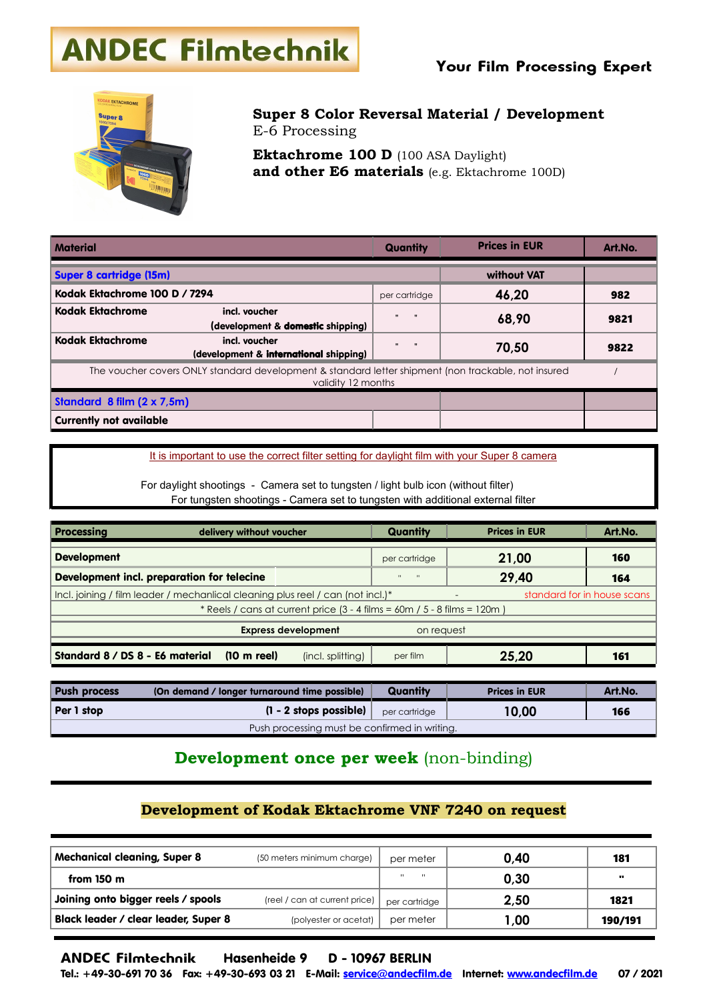# **ANDEC Filmtechnik**



# **Super 8 Color Reversal Material / Development** E-6 Processing

**Ektachrome 100 D** (100 ASA Daylight) **and other E6 materials** (e.g. Ektachrome 100D)

| <b>Material</b>                |                                                                                                                           | <b>Quantity</b> | <b>Prices in EUR</b> | Art.No. |
|--------------------------------|---------------------------------------------------------------------------------------------------------------------------|-----------------|----------------------|---------|
| <b>Super 8 cartridge (15m)</b> |                                                                                                                           |                 | without VAT          |         |
| Kodak Ektachrome 100 D / 7294  |                                                                                                                           | per cartridge   | 46,20                | 982     |
| <b>Kodak Ektachrome</b>        | incl. voucher<br>(development & <b>domestic</b> shipping)                                                                 | $\mathbf{u}$    | 68,90                | 9821    |
| <b>Kodak Ektachrome</b>        | incl. voucher<br>(development & international shipping)                                                                   | $\mathbf{u}$    | 70,50                | 9822    |
|                                | The voucher covers ONLY standard development & standard letter shipment (non trackable, not insured<br>validity 12 months |                 |                      |         |
| Standard 8 film (2 x 7,5m)     |                                                                                                                           |                 |                      |         |
| <b>Currently not available</b> |                                                                                                                           |                 |                      |         |

It is important to use the correct filter setting for daylight film with your Super 8 camera

 For daylight shootings - Camera set to tungsten / light bulb icon (without filter) For tungsten shootings - Camera set to tungsten with additional external filter

| <b>Processing</b><br>delivery without voucher                                   |                               | <b>Quantity</b>                                                             | <b>Prices in EUR</b> | Art.No. |                             |
|---------------------------------------------------------------------------------|-------------------------------|-----------------------------------------------------------------------------|----------------------|---------|-----------------------------|
| <b>Development</b>                                                              |                               |                                                                             | per cartridge        | 21,00   | 160                         |
| Development incl. preparation for telecine                                      |                               |                                                                             |                      | 29,40   | 164                         |
| lncl. joining / film leader / mechanlical cleaning plus reel / can (not incl.)* |                               |                                                                             |                      |         | standard for in house scans |
|                                                                                 |                               | * Reels / cans at current price $(3 - 4$ films = 60m / 5 - 8 films = 120m ) |                      |         |                             |
| <b>Express development</b><br>on request                                        |                               |                                                                             |                      |         |                             |
| Standard 8 / DS 8 - E6 material                                                 | $(10 \text{ m} \text{ real})$ | (incl. splitting)                                                           | per film             | 25,20   | 161                         |

| <b>Push process</b>                           | (On demand / longer turnaround time possible) | Quantity      | <b>Prices in EUR</b> | Art.No. |  |
|-----------------------------------------------|-----------------------------------------------|---------------|----------------------|---------|--|
| Per 1 stop                                    | $(1 - 2$ stops possible)                      | per cartridae | 10,00                | 166     |  |
| Push processing must be confirmed in writing. |                                               |               |                      |         |  |

# **Development once per week** (non-binding)

### **Development of Kodak Ektachrome VNF 7240 on request**

| <b>Mechanical cleaning, Super 8</b>  | (50 meters minimum charge)    | per meter                 | 0,40  | 181     |
|--------------------------------------|-------------------------------|---------------------------|-------|---------|
| from $150 \text{ m}$                 |                               | $\mathbf{H}$<br>$\sim$ 11 | 0,30  | ш.      |
| Joining onto bigger reels / spools   | (reel / can at current price) | per cartridge             | 2,50  | 1821    |
| Black leader / clear leader, Super 8 | (polyester or acetat)         | per meter                 | 00, ا | 190/191 |

### ANDEC Filmtechnik Hasenheide 9 D - 10967 BERLIN

Tel.: +49-30-691 70 36 Fax: +49-30-693 03 21 E-Mail: [service@andecfilm.de](mailto:service@andecfilm.de) Internet: [www.andecfilm.de](http://www.andecfilm.de/) 07 / 2021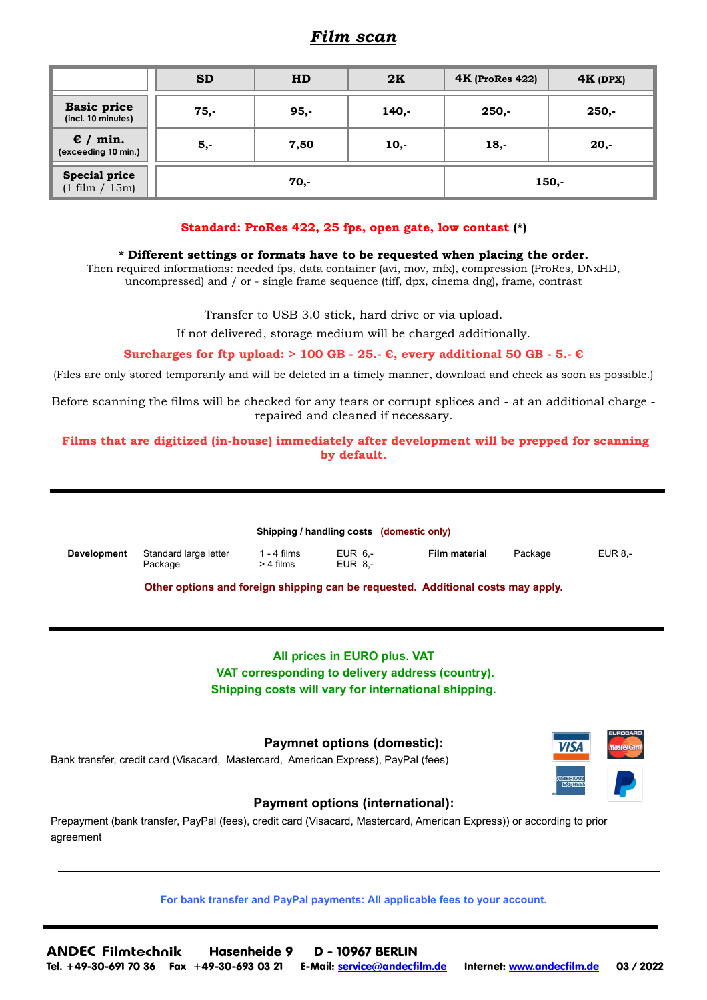# *Film scan*

|                                            | <b>SD</b> | HD                | 2K     | $4K$ (ProRes 422) | $4K$ (DPX) |
|--------------------------------------------|-----------|-------------------|--------|-------------------|------------|
| <b>Basic price</b><br>(incl. 10 minutes)   | $75,-$    | $95,-$<br>$140,-$ |        | $250 -$           | $250,-$    |
| $\epsilon$ / min.<br>(exceeding 10 min.)   | $5,-$     | 7,50              | $10,-$ | $18,-$            | $20,-$     |
| <b>Special price</b><br>$(1$ film $/ 15m)$ | $70,-$    |                   |        |                   | $150,-$    |

### **Standard: ProRes 422, 25 fps, open gate, low contast (\*)**

### **\* Different settings or formats have to be requested when placing the order.**

Then required informations: needed fps, data container (avi, mov, mfx), compression (ProRes, DNxHD, uncompressed) and / or - single frame sequence (tiff, dpx, cinema dng), frame, contrast

Transfer to USB 3.0 stick, hard drive or via upload.

If not delivered, storage medium will be charged additionally.

### **Surcharges for ftp upload:**  $> 100$  **GB** - 25.-  $\epsilon$ , every additional 50 GB - 5.-  $\epsilon$

(Files are only stored temporarily and will be deleted in a timely manner, download and check as soon as possible.)

Before scanning the films will be checked for any tears or corrupt splices and - at an additional charge repaired and cleaned if necessary.

### **Films that are digitized (in-house) immediately after development will be prepped for scanning by default.**

|             |                                  |                            |                    | Shipping / handling costs (domestic only) |         |                |
|-------------|----------------------------------|----------------------------|--------------------|-------------------------------------------|---------|----------------|
| Development | Standard large letter<br>Package | $1 - 4$ films<br>> 4 films | EUR 6.-<br>EUR 8.- | Film material                             | Package | <b>EUR 8.-</b> |

**Other options and foreign shipping can be requested. Additional costs may apply.**

### **All prices in EURO plus. VAT VAT corresponding to delivery address (country). Shipping costs will vary for international shipping.**

### **Paymnet options (domestic):**

Bank transfer, credit card (Visacard, Mastercard, American Express), PayPal (fees)



### **Payment options (international):**

Prepayment (bank transfer, PayPal (fees), credit card (Visacard, Mastercard, American Express)) or according to prior agreement

**For bank transfer and PayPal payments: All applicable fees to your account.**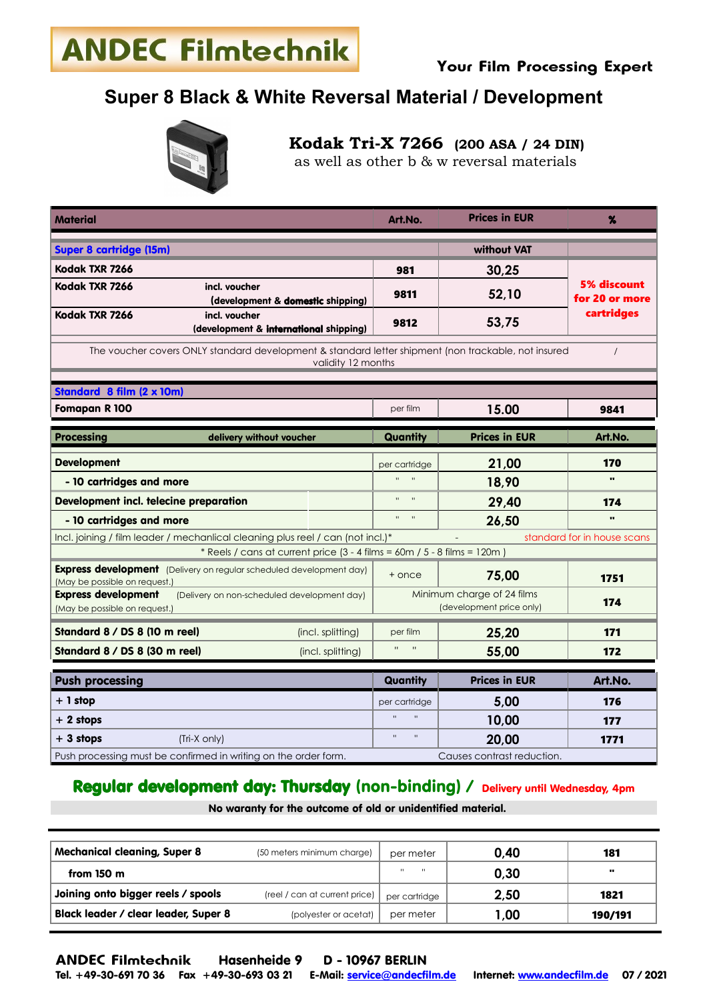# **ANDEC Filmtechnik**

# **Super 8 Black & White Reversal Material / Development**



# **Kodak Tri-X 7266 (200 ASA / 24 DIN)**

as well as other b & w reversal materials

| <b>Material</b>                                                                                                                       | Art.No.                                  | <b>Prices in EUR</b>                                   | X                             |  |  |  |
|---------------------------------------------------------------------------------------------------------------------------------------|------------------------------------------|--------------------------------------------------------|-------------------------------|--|--|--|
| <b>Super 8 cartridge (15m)</b>                                                                                                        |                                          | without VAT                                            |                               |  |  |  |
| Kodak TXR 7266                                                                                                                        | 981                                      | 30,25                                                  |                               |  |  |  |
| Kodak TXR 7266<br>incl. voucher<br>(development & domestic shipping)                                                                  | 9811                                     | 52,10                                                  | 5% discount<br>for 20 or more |  |  |  |
| Kodak TXR 7266<br>incl. voucher<br>(development & international shipping)                                                             | 9812                                     | 53,75                                                  | cartridges                    |  |  |  |
| The voucher covers ONLY standard development & standard letter shipment (non trackable, not insured<br>$\prime$<br>validity 12 months |                                          |                                                        |                               |  |  |  |
|                                                                                                                                       |                                          |                                                        |                               |  |  |  |
| Standard 8 film (2 x 10m)                                                                                                             |                                          |                                                        |                               |  |  |  |
| Fomapan R 100                                                                                                                         | per film                                 | 15.00                                                  | 9841                          |  |  |  |
| <b>Processing</b><br>delivery without voucher                                                                                         | Quantity                                 | <b>Prices in EUR</b>                                   | Art.No.                       |  |  |  |
| <b>Development</b>                                                                                                                    | per cartridge                            | 21,00                                                  | 170                           |  |  |  |
| - 10 cartridges and more                                                                                                              | $\alpha = -\alpha$                       | 18,90                                                  | u.                            |  |  |  |
| <b>Development incl. telecine preparation</b>                                                                                         | $0.1\leq 0.01$                           | 29,40                                                  | 174                           |  |  |  |
| - 10 cartridges and more                                                                                                              | $\mathbf{H}^{\mathrm{max}}$<br>$\sim$ 11 | 26,50                                                  |                               |  |  |  |
| Incl. joining / film leader / mechanlical cleaning plus reel / can (not incl.)*                                                       |                                          |                                                        | standard for in house scans   |  |  |  |
| * Reels / cans at current price (3 - 4 films = 60m / 5 - 8 films = 120m)                                                              |                                          |                                                        |                               |  |  |  |
| <b>Express development</b> (Delivery on regular scheduled development day)<br>(May be possible on request.)                           | + once                                   | 75,00                                                  | 1751                          |  |  |  |
| <b>Express development</b><br>(Delivery on non-scheduled development day)<br>(May be possible on request.)                            |                                          | Minimum charge of 24 films<br>(development price only) | 174                           |  |  |  |
| Standard 8 / DS 8 (10 m reel)<br>(incl. splitting)                                                                                    | per film                                 | 25,20                                                  | 171                           |  |  |  |
| Standard 8 / DS 8 (30 m reel)<br>(incl. splitting)                                                                                    | $\mathbf{H}$<br>$\blacksquare$           | 55,00                                                  | 172                           |  |  |  |
| <b>Push processing</b>                                                                                                                | Quantity                                 | <b>Prices in EUR</b>                                   | Art.No.                       |  |  |  |
| $+1$ stop                                                                                                                             | per cartridge                            | 5,00                                                   | 176                           |  |  |  |
| $+2$ stops                                                                                                                            | $\bar{\bar{H}}$<br>$\mathbf{u}$          | 10,00                                                  | 177                           |  |  |  |
| $+3$ stops<br>(Tri-X only)                                                                                                            | ù.<br>$\mathbf{H}$ .                     | 20,00                                                  | 1771                          |  |  |  |
| Push processing must be confirmed in writing on the order form.                                                                       |                                          | Causes contrast reduction.                             |                               |  |  |  |

# Regular development day: Thursday (non-binding) / Delivery until Wednesday, 4pm

No waranty for the outcome of old or unidentified material.

| <b>Mechanical cleaning, Super 8</b><br>(50 meters minimum charge) |                               | per meter                                | 0.40 | 181     |
|-------------------------------------------------------------------|-------------------------------|------------------------------------------|------|---------|
| from $150 \text{ m}$                                              |                               | $\mathbf{u} = \mathbf{u} + \mathbf{u}$ . | 0,30 | - 77    |
| Joining onto bigger reels / spools                                | (reel / can at current price) | per cartridge                            | 2,50 | 1821    |
| Black leader / clear leader, Super 8                              | (polyester or acetat)         | per meter                                | 1,00 | 190/191 |